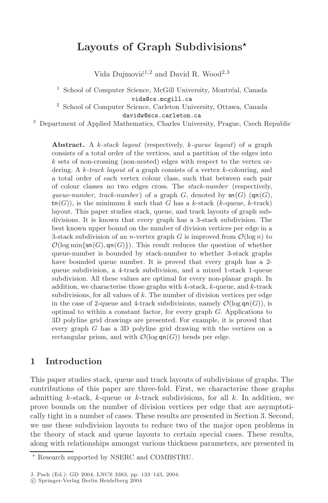# **Layouts of Graph Subdivisions**

Vida Dujmović<sup>1,2</sup> and David R. Wood<sup>2,3</sup>

 $1$  School of Computer Science, McGill University, Montréal, Canada vida@cs.mcgill.ca

<sup>2</sup> School of Computer Science, Carleton University, Ottawa, Canada davidw@scs.carleton.ca

<sup>3</sup> Department of Applied Mathematics, Charles University, Prague, Czech Republic

**Abstract.** <sup>A</sup> <sup>k</sup>*-stack layout* (respectively, <sup>k</sup>*-queue layout*) of a graph consists of a total order of the vertices, and a partition of the edges into k sets of non-crossing (non-nested) edges with respect to the vertex ordering. A k*-track layout* of a graph consists of a vertex k-colouring, and a total order of each vertex colour class, such that between each pair of colour classes no two edges cross. The *stack-number* (respectively, *queue-number*, *track-number*) of a graph  $G$ , denoted by  $\mathsf{sn}(G)$  ( $\mathsf{qn}(G)$ ),  $\mathsf{tn}(G)$ , is the minimum k such that G has a k-stack (k-queue, k-track) layout. This paper studies stack, queue, and track layouts of graph subdivisions. It is known that every graph has a 3-stack subdivision. The best known upper bound on the number of division vertices per edge in a 3-stack subdivision of an *n*-vertex graph G is improved from  $\mathcal{O}(\log n)$  to  $\mathcal{O}(\log \min\{\textsf{sn}(G), \textsf{qn}(G)\})$ . This result reduces the question of whether queue-number is bounded by stack-number to whether 3-stack graphs have bounded queue number. It is proved that every graph has a 2 queue subdivision, a 4-track subdivision, and a mixed 1-stack 1-queue subdivision. All these values are optimal for every non-planar graph. In addition, we characterise those graphs with  $k$ -stack,  $k$ -queue, and  $k$ -track subdivisions, for all values of  $k$ . The number of division vertices per edge in the case of 2-queue and 4-track subdivisions, namely  $\mathcal{O}(\log \mathsf{qn}(G))$ , is optimal to within a constant factor, for every graph G. Applications to 3D polyline grid drawings are presented. For example, it is proved that every graph G has a 3D polyline grid drawing with the vertices on a rectangular prism, and with  $\mathcal{O}(\log \mathsf{qn}(G))$  bends per edge.

### **1 Introduction**

This paper studies stack, queue and track layouts of subdivisions of graphs. The contributions of this paper are three-fold. First, we characterise those graphs admitting k-stack, k-queue or k-track subdivisions, for all k. In addition, we prove bounds on the number of division vertices per edge that are asymptotically tight in a number of cases. These results are presented in Section 3. Second, we use these subdivision layouts to reduce two of the major open problems in the theory of stack and queue layouts to certain special cases. These results, along with relationships amongst various thickness parameters, are presented in

Research supported by NSERC and COMBSTRU.

J. Pach (Ed.): GD 2004, LNCS 3383, pp. 133–143, 2004.

c Springer-Verlag Berlin Heidelberg 2004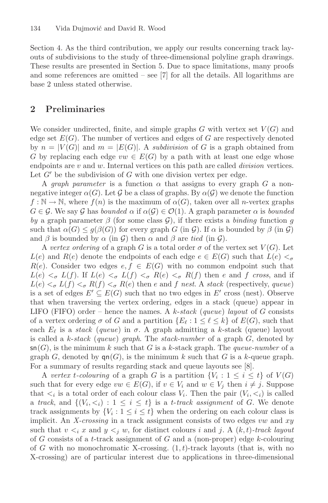Section 4. As the third contribution, we apply our results concerning track layouts of subdivisions to the study of three-dimensional polyline graph drawings. These results are presented in Section 5. Due to space limitations, many proofs and some references are omitted  $-$  see [7] for all the details. All logarithms are base 2 unless stated otherwise.

### **2 Preliminaries**

We consider undirected, finite, and simple graphs  $G$  with vertex set  $V(G)$  and edge set  $E(G)$ . The number of vertices and edges of G are respectively denoted by  $n = |V(G)|$  and  $m = |E(G)|$ . A *subdivision* of G is a graph obtained from G by replacing each edge  $vw \in E(G)$  by a path with at least one edge whose endpoints are v and w. Internal vertices on this path are called *division* vertices. Let  $G'$  be the subdivision of G with one division vertex per edge.

A *graph parameter* is a function  $\alpha$  that assigns to every graph G a nonnegative integer  $\alpha(G)$ . Let G be a class of graphs. By  $\alpha(G)$  we denote the function  $f : \mathbb{N} \to \mathbb{N}$ , where  $f(n)$  is the maximum of  $\alpha(G)$ , taken over all *n*-vertex graphs  $G \in \mathcal{G}$ . We say  $\mathcal{G}$  has *bounded*  $\alpha$  if  $\alpha(\mathcal{G}) \in \mathcal{O}(1)$ . A graph parameter  $\alpha$  is *bounded by* a graph parameter β (for some class <sup>G</sup>), if there exists a *binding* function g such that  $\alpha(G) \leq g(\beta(G))$  for every graph G (in G). If  $\alpha$  is bounded by  $\beta$  (in G) and  $\beta$  is bounded by  $\alpha$  (in  $\mathcal{G}$ ) then  $\alpha$  and  $\beta$  are *tied* (in  $\mathcal{G}$ ).

A *vertex ordering* of a graph G is a total order  $\sigma$  of the vertex set  $V(G)$ . Let  $L(e)$  and  $R(e)$  denote the endpoints of each edge  $e \in E(G)$  such that  $L(e) <_{\sigma}$  $R(e)$ . Consider two edges  $e, f \in E(G)$  with no common endpoint such that  $L(e) <_{\sigma} L(f)$ . If  $L(e) <_{\sigma} L(f) <_{\sigma} R(e) <_{\sigma} R(f)$  then e and f cross, and if  $L(e) \leq_{\sigma} L(f) \leq_{\sigma} R(f) \leq_{\sigma} R(e)$  then e and f nest. A stack (respectively, queue) is a set of edges  $E' \subseteq E(G)$  such that no two edges in E' cross (nest). Observe<br>that when traversing the vertex ordering edges in a stack (queue) appear in that when traversing the vertex ordering, edges in a stack (queue) appear in LIFO (FIFO) order – hence the names. A k-*stack* (*queue*) *layout* of G consists of a vertex ordering  $\sigma$  of G and a partition  $\{E_\ell : 1 \leq \ell \leq k\}$  of  $E(G)$ , such that each  $E_\ell$  is a stack (queue) in  $\sigma$ . A graph admitting a k-stack (queue) layout each  $E_{\ell}$  is a *stack* (*queue*) in  $\sigma$ . A graph admitting a k-stack (queue) layout<br>is called a k-stack (*queue*) graph. The stack-number of a graph  $G$  denoted by is called a k-*stack* (*queue*) *graph*. The *stack-number* of a graph G, denoted by  $\mathsf{sn}(G)$ , is the minimum k such that G is a k-stack graph. The *queue-number* of a graph G, denoted by  $\mathsf{qn}(G)$ , is the minimum k such that G is a k-queue graph. For a summary of results regarding stack and queue layouts see [8].

A *vertex t*-colouring of a graph G is a partition  $\{V_i : 1 \leq i \leq t\}$  of  $V(G)$ such that for every edge  $vw \in E(G)$ , if  $v \in V_i$  and  $w \in V_j$  then  $i \neq j$ . Suppose that  $\langle i \rangle$  is a total order of each colour class  $V_i$ . Then the pair  $(V_i, \langle i \rangle)$  is called a *track*, and  $\{(V_i, \leq_i): 1 \leq i \leq t\}$  is a *t*-track assignment of G. We denote track assignments by  $\{V_i : 1 \leq i \leq t\}$  when the ordering on each colour class is implicit. An *X-crossing* in a track assignment consists of two edges vw and xy such that  $v \leq_i x$  and  $y \leq_j w$ , for distinct colours i and j. A  $(k, t)$ *-track layout* of G consists of a t-track assignment of G and a (non-proper) edge k-colouring of G with no monochromatic X-crossing.  $(1, t)$ -track layouts (that is, with no X-crossing) are of particular interest due to applications in three-dimensional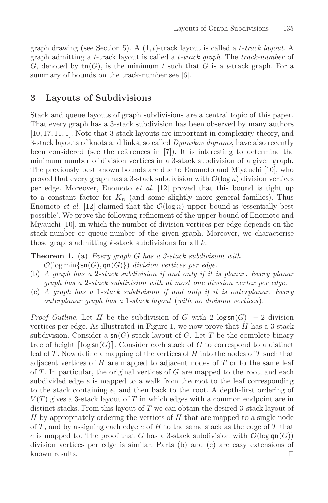graph drawing (see Section 5). A (1, t)-track layout is called a t*-track layout*. A graph admitting a t-track layout is called a t*-track graph*. The *track-number* of G, denoted by  $\text{tn}(G)$ , is the minimum t such that G is a t-track graph. For a summary of bounds on the track-number see [6].

### **3 Layouts of Subdivisions**

Stack and queue layouts of graph subdivisions are a central topic of this paper. That every graph has a 3-stack subdivision has been observed by many authors [10, 17, 11, 1]. Note that 3-stack layouts are important in complexity theory, and 3-stack layouts of knots and links, so called *Dynnikov digrams*, have also recently been considered (see the references in [7]). It is interesting to determine the minimum number of division vertices in a 3-stack subdivision of a given graph. The previously best known bounds are due to Enomoto and Miyauchi [10], who proved that every graph has a 3-stack subdivision with  $\mathcal{O}(\log n)$  division vertices per edge. Moreover, Enomoto *et al.* [12] proved that this bound is tight up to a constant factor for  $K_n$  (and some slightly more general families). Thus Enomoto *et al.* [12] claimed that the  $\mathcal{O}(\log n)$  upper bound is 'essentially best possible'. We prove the following refinement of the upper bound of Enomoto and Miyauchi [10], in which the number of division vertices per edge depends on the stack-number or queue-number of the given graph. Moreover, we characterise those graphs admitting  $k$ -stack subdivisions for all  $k$ .

**Theorem 1.** (a) *Every graph* G *has a 3-stack subdivision with*  $\mathcal{O}(\log \min\{\textsf{sn}(G), \textsf{qn}(G)\})$  *division vertices per edge.* 

- (b) *A graph has a* 2*-stack subdivision if and only if it is planar. Every planar graph has a* 2*-stack subdivision with at most one division vertex per edge.*
- (c) *A graph has a* 1*-stack subdivision if and only if it is outerplanar. Every outerplanar graph has a* 1*-stack layout* (*with no division vertices*)*.*

*Proof Outline*. Let H be the subdivision of G with  $2\lceil \log \operatorname{sn}(G) \rceil - 2$  division vertices per edge. As illustrated in Figure 1, we now prove that  $H$  has a 3-stack subdivision. Consider a  $\mathsf{sn}(G)$ -stack layout of G. Let T be the complete binary tree of height  $\lceil \log \operatorname{sn}(G) \rceil$ . Consider each stack of G to correspond to a distinct leaf of T. Now define a mapping of the vertices of  $H$  into the nodes of T such that adjacent vertices of  $H$  are mapped to adjacent nodes of  $T$  or to the same leaf of  $T$ . In particular, the original vertices of  $G$  are mapped to the root, and each subdivided edge e is mapped to a walk from the root to the leaf corresponding to the stack containing e, and then back to the root. A depth-first ordering of  $V(T)$  gives a 3-stack layout of T in which edges with a common endpoint are in distinct stacks. From this layout of  $T$  we can obtain the desired 3-stack layout of  $H$  by appropriately ordering the vertices of  $H$  that are mapped to a single node of T, and by assigning each edge  $e$  of H to the same stack as the edge of T that e is mapped to. The proof that G has a 3-stack subdivision with  $\mathcal{O}(\log q \cdot (G))$ division vertices per edge is similar. Parts (b) and (c) are easy extensions of known results.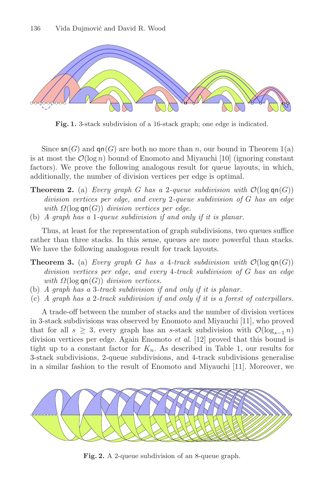

**Fig. 1.** 3-stack subdivision of a 16-stack graph; one edge is indicated.

Since  $\mathsf{sn}(G)$  and  $\mathsf{qn}(G)$  are both no more than n, our bound in Theorem 1(a) is at most the  $\mathcal{O}(\log n)$  bound of Enomoto and Miyauchi [10] (ignoring constant factors). We prove the following analogous result for queue layouts, in which, additionally, the number of division vertices per edge is optimal.

- **Theorem 2.** (a) *Every graph* G has a 2-queue subdivision with  $\mathcal{O}(\log \mathsf{qn}(G))$ *division vertices per edge, and every* <sup>2</sup>*-queue subdivision of* G *has an edge with*  $\Omega(\log \mathsf{qn}(G))$  *division vertices per edge.*
- (b) *A graph has a* 1*-queue subdivision if and only if it is planar.*

Thus, at least for the representation of graph subdivisions, two queues suffice rather than three stacks. In this sense, queues are more powerful than stacks. We have the following analogous result for track layouts.

- **Theorem 3.** (a) *Every graph* G *has a* 4-track subdivision with  $\mathcal{O}(\log \text{gn}(G))$ *division vertices per edge, and every* <sup>4</sup>*-track subdivision of* G *has an edge with*  $\Omega(\log \mathsf{qn}(G))$  *division vertices.*
- (b) *A graph has a* 3*-track subdivision if and only if it is planar.*
- (c) *A graph has a* 2*-track subdivision if and only if it is a forest of caterpillars.*

A trade-off between the number of stacks and the number of division vertices in 3-stack subdivisions was observed by Enomoto and Miyauchi [11], who proved that for all  $s \geq 3$ , every graph has an s-stack subdivision with  $\mathcal{O}(\log_{s-1} n)$ division vertices per edge. Again Enomoto *et al.* [12] proved that this bound is tight up to a constant factor for  $K_n$ . As described in Table 1, our results for 3-stack subdivisions, 2-queue subdivisions, and 4-track subdivisions generalise in a similar fashion to the result of Enomoto and Miyauchi [11]. Moreover, we



**Fig. 2.** A 2-queue subdivision of an 8-queue graph.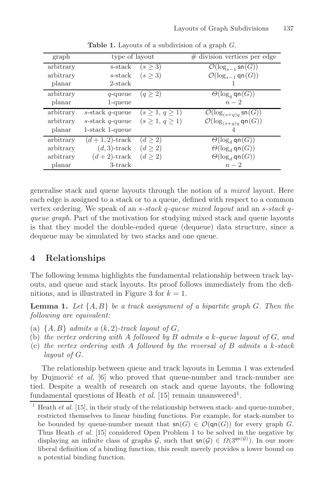| graph     | type of layout        |                        | $#$ division vertices per edge                       |
|-----------|-----------------------|------------------------|------------------------------------------------------|
| arbitrary | s-stack               | $(s \geq 3)$           | $\mathcal{O}(\log_{s-1} \mathsf{sn}(G))$             |
| arbitrary | s-stack               | (s > 3)                | $\mathcal{O}(\log_{s-1} \mathsf{q}\mathsf{n}(G))$    |
| planar    | 2-stack               |                        |                                                      |
| arbitrary | $q$ -queue            | (q > 2)                | $\Theta(\log_q \mathsf{qn}(G))$                      |
| planar    | 1-queue               |                        | $n-2$                                                |
| arbitrary | $s$ -stack $q$ -queue | $(s \geq 1, q \geq 1)$ | $\mathcal{O}(\log_{(s+q)q} \mathsf{sn}(G))$          |
| arbitrary | s-stack $q$ -queue    | $(s \geq 1, q \geq 1)$ | $\mathcal{O}(\log_{(s+q)q} \mathsf{q}\mathsf{n}(G))$ |
| planar    | 1-stack 1-queue       |                        |                                                      |
| arbitrary | $(d+1, 2)$ -track     | (d > 2)                | $\Theta(\log_d \mathsf{qn}(G))$                      |
| arbitrary | $(d, 3)$ -track       | $(d \geq 2)$           | $\Theta(\log_d \mathsf{qn}(G))$                      |
| arbitrary | $(d+2)$ -track        | (d > 2)                | $\Theta(\log_d \mathsf{qn}(G))$                      |
| planar    | $3$ -track            |                        | $n-2$                                                |

**Table 1.** Layouts of a subdivision of a graph <sup>G</sup>.

generalise stack and queue layouts through the notion of a *mixed* layout. Here each edge is assigned to a stack or to a queue, defined with respect to a common vertex ordering. We speak of an s*-stack* q*-queue mixed layout* and an s*-stack* q*queue graph*. Part of the motivation for studying mixed stack and queue layouts is that they model the double-ended queue (dequeue) data structure, since a dequeue may be simulated by two stacks and one queue.

## **4 Relationships**

The following lemma highlights the fundamental relationship between track layouts, and queue and stack layouts. Its proof follows immediately from the definitions, and is illustrated in Figure 3 for  $k = 1$ .

**Lemma 1.** *Let* {A, B} *be a track assignment of a bipartite graph* G*. Then the following are equivalent:*

- (a)  $\{A, B\}$  *admits a*  $(k, 2)$ -track layout of G,
- (b) *the vertex ordering with* A *followed by* B *admits a* k*-queue layout of* G*, and*
- (c) *the vertex ordering with* A *followed by the reversal of* B *admits a* k*-stack layout of* G*.*

The relationship between queue and track layouts in Lemma 1 was extended by Dujmović *et al.* [6] who proved that queue-number and track-number are tied. Despite a wealth of research on stack and queue layouts, the following fundamental questions of Heath *et al.* [15] remain unanswered<sup>1</sup>.

<sup>1</sup> Heath *et al.* [15], in their study of the relationship between stack- and queue-number, restricted themselves to linear binding functions. For example, for stack-number to be bounded by queue-number meant that  $\mathsf{sn}(G) \in \mathcal{O}(\mathsf{qn}(G))$  for every graph G. Thus Heath *et al.* [15] considered Open Problem 1 to be solved in the negative by displaying an infinite class of graphs  $\mathcal{G}$ , such that  $\mathsf{sn}(\mathcal{G}) \in \Omega(3^{\mathsf{qn}(\mathcal{G})})$ . In our more liberal definition of a binding function, this result merely provides a lower bound on a potential binding function.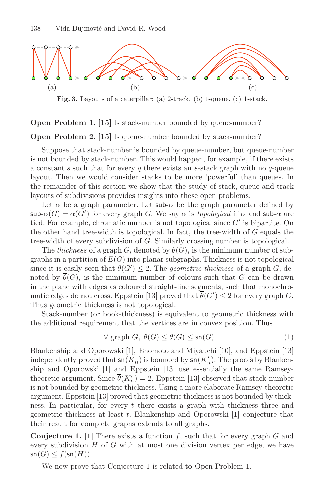

**Fig. 3.** Layouts of a caterpillar: (a) 2-track, (b) 1-queue, (c) 1-stack.

#### **Open Problem 1. [15]** Is stack-number bounded by queue-number?

**Open Problem 2.** [15] Is queue-number bounded by stack-number?

Suppose that stack-number is bounded by queue-number, but queue-number is not bounded by stack-number. This would happen, for example, if there exists a constant  $s$  such that for every  $q$  there exists an  $s$ -stack graph with no  $q$ -queue layout. Then we would consider stacks to be more 'powerful' than queues. In the remainder of this section we show that the study of stack, queue and track layouts of subdivisions provides insights into these open problems.

Let  $\alpha$  be a graph parameter. Let sub- $\alpha$  be the graph parameter defined by  $\mathsf{sub}\text{-}\alpha(G) = \alpha(G')$  for every graph G. We say  $\alpha$  is *topological* if  $\alpha$  and sub- $\alpha$  are tied. For example, chromatic number is not topological since  $G'$  is binartite. On tied. For example, chromatic number is not topological since  $G'$  is bipartite. On<br>the other hand tree-width is topological. In fact, the tree-width of  $G$  equals the the other hand tree-width is topological. In fact, the tree-width of  $G$  equals the tree-width of every subdivision of G. Similarly crossing number is topological.

The *thickness* of a graph G, denoted by  $\theta(G)$ , is the minimum number of subgraphs in a partition of  $E(G)$  into planar subgraphs. Thickness is not topological since it is easily seen that  $\theta(G') \leq 2$ . The *geometric thickness* of a graph G, de-<br>noted by  $\overline{\theta}(G)$  is the minimum number of colours such that G can be drawn noted by  $\overline{\theta}(G)$ , is the minimum number of colours such that G can be drawn in the plane with edges as coloured straight-line segments, such that monochromatic edges do not cross. Eppstein [13] proved that  $\theta(G') \leq 2$  for every graph G.<br>Thus geometric thickness is not topological Thus geometric thickness is not topological.

Stack-number (or book-thickness) is equivalent to geometric thickness with the additional requirement that the vertices are in convex position. Thus

$$
\forall \text{ graph } G, \ \theta(G) \leq \theta(G) \leq \text{sn}(G) \ . \tag{1}
$$

Blankenship and Oporowski [1], Enomoto and Miyauchi [10], and Eppstein [13] independently proved that  $\mathsf{sn}(K_n)$  is bounded by  $\mathsf{sn}(K'_n)$ . The proofs by Blanken-<br>ship and Operowski [1] and Eppstein [13] use essentially the same Bamseyship and Oporowski [1] and Eppstein [13] use essentially the same Ramseytheoretic argument. Since  $\theta(K'_n) = 2$ , Eppstein [13] observed that stack-number<br>is not bounded by geometric thickness. Using a more elaborate Bamsey-theoretic is not bounded by geometric thickness. Using a more elaborate Ramsey-theoretic argument, Eppstein [13] proved that geometric thickness is not bounded by thickness. In particular, for every  $t$  there exists a graph with thickness three and geometric thickness at least t. Blankenship and Oporowski [1] conjecture that their result for complete graphs extends to all graphs.

**Conjecture 1.** [1] There exists a function  $f$ , such that for every graph  $G$  and every subdivision  $H$  of  $G$  with at most one division vertex per edge, we have  $\mathsf{sn}(G) \leq f(\mathsf{sn}(H)).$ 

We now prove that Conjecture 1 is related to Open Problem 1.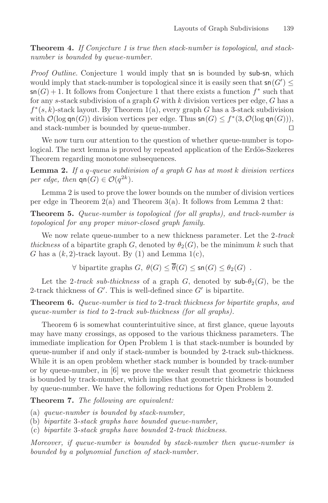**Theorem 4.** *If Conjecture 1 is true then stack-number is topological, and stacknumber is bounded by queue-number.*

*Proof Outline*. Conjecture 1 would imply that sn is bounded by sub-sn, which would imply that stack-number is topological since it is easily seen that  $\mathsf{sn}(G') \leq$ <br> $\mathsf{sn}(G) + 1$ . It follows from Conjecture 1 that there exists a function  $f^*$  such that  $\mathsf{sn}(G) + 1$ . It follows from Conjecture 1 that there exists a function  $f^*$  such that for any s-stack subdivision of a graph  $G$  with  $k$  division vertices per edge,  $G$  has a  $f^*(s, k)$ -stack layout. By Theorem 1(a), every graph G has a 3-stack subdivision with  $\mathcal{O}(\log \mathsf{qn}(G))$  division vertices per edge. Thus  $\mathsf{sn}(G) \leq f^*(3, \mathcal{O}(\log \mathsf{qn}(G))),$ <br>and stack-number is bounded by queue-number and stack-number is bounded by queue-number. 

We now turn our attention to the question of whether queue-number is topological. The next lemma is proved by repeated application of the Erdös-Szekeres Theorem regarding monotone subsequences.

**Lemma 2.** *If a* q*-queue subdivision of a graph* G *has at most* k *division vertices per edge, then*  $\mathsf{qn}(G) \in \mathcal{O}(q^{2k})$ *.* 

Lemma 2 is used to prove the lower bounds on the number of division vertices per edge in Theorem  $2(a)$  and Theorem  $3(a)$ . It follows from Lemma 2 that:

**Theorem 5.** *Queue-number is topological (for all graphs), and track-number is topological for any proper minor-closed graph family.*

We now relate queue-number to a new thickness parameter. Let the 2*-track thickness* of a bipartite graph G, denoted by  $\theta_2(G)$ , be the minimum k such that G has a  $(k, 2)$ -track layout. By (1) and Lemma 1(c),

 $\forall$  bipartite graphs  $G, \ \theta(G) \leq \overline{\theta}(G) \leq \mathsf{sn}(G) \leq \theta_2(G)$ .

Let the 2-track sub-thickness of a graph G, denoted by  $\mathsf{sub-}\theta_2(G)$ , be the 2-track thickness of  $G'$ . This is well-defined since  $G'$  is bipartite.

**Theorem 6.** *Queue-number is tied to* 2*-track thickness for bipartite graphs, and queue-number is tied to* 2*-track sub-thickness (for all graphs).*

Theorem 6 is somewhat counterintuitive since, at first glance, queue layouts may have many crossings, as opposed to the various thickness parameters. The immediate implication for Open Problem 1 is that stack-number is bounded by queue-number if and only if stack-number is bounded by 2-track sub-thickness. While it is an open problem whether stack number is bounded by track-number or by queue-number, in [6] we prove the weaker result that geometric thickness is bounded by track-number, which implies that geometric thickness is bounded by queue-number. We have the following reductions for Open Problem 2.

**Theorem 7.** *The following are equivalent:*

(a) *queue-number is bounded by stack-number,*

(b) *bipartite* 3*-stack graphs have bounded queue-number,*

(c) *bipartite* 3*-stack graphs have bounded* 2*-track thickness.*

*Moreover, if queue-number is bounded by stack-number then queue-number is bounded by a polynomial function of stack-number.*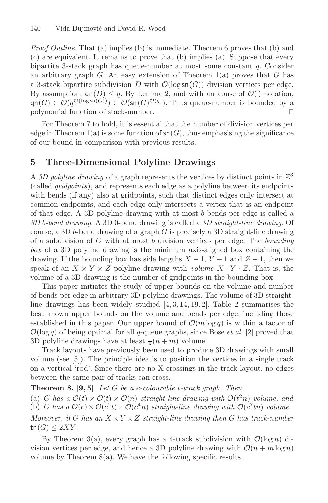*Proof Outline*. That (a) implies (b) is immediate. Theorem 6 proves that (b) and (c) are equivalent. It remains to prove that (b) implies (a). Suppose that every bipartite 3-stack graph has queue-number at most some constant q. Consider an arbitrary graph G. An easy extension of Theorem  $1(a)$  proves that G has a 3-stack bipartite subdivision D with  $\mathcal{O}(\log \mathsf{sn}(G))$  division vertices per edge. By assumption,  $\mathsf{qn}(D) \leq q$ . By Lemma 2, and with an abuse of  $\mathcal{O}(n)$  notation,  $\mathsf{qn}(G) \in \mathcal{O}(q^{\mathcal{O}(\log \mathsf{sn}(G))}) \in \mathcal{O}(\mathsf{sn}(G)^{\mathcal{O}(q)})$ . Thus queue-number is bounded by a polynomial function of stack-number. polynomial function of stack-number. 

For Theorem 7 to hold, it is essential that the number of division vertices per edge in Theorem 1(a) is some function of  $\mathsf{sn}(G)$ , thus emphasising the significance of our bound in comparison with previous results.

## **5 Three-Dimensional Polyline Drawings**

A 3D polyline drawing of a graph represents the vertices by distinct points in  $\mathbb{Z}^3$ (called *gridpoints*), and represents each edge as a polyline between its endpoints with bends (if any) also at gridpoints, such that distinct edges only intersect at common endpoints, and each edge only intersects a vertex that is an endpoint of that edge. A 3D polyline drawing with at most b bends per edge is called a *3D* b*-bend drawing*. A 3D 0-bend drawing is called a *3D straight-line drawing*. Of course, a 3D b-bend drawing of a graph  $G$  is precisely a 3D straight-line drawing of a subdivision of G with at most b division vertices per edge. The *bounding box* of a 3D polyline drawing is the minimum axis-aligned box containing the drawing. If the bounding box has side lengths  $X - 1$ ,  $Y - 1$  and  $Z - 1$ , then we speak of an  $X \times Y \times Z$  polyline drawing with *volume*  $X \cdot Y \cdot Z$ . That is, the volume of a 3D drawing is the number of gridpoints in the bounding box.

This paper initiates the study of upper bounds on the volume and number of bends per edge in arbitrary 3D polyline drawings. The volume of 3D straightline drawings has been widely studied  $[4, 3, 14, 19, 2]$ . Table 2 summarises the best known upper bounds on the volume and bends per edge, including those established in this paper. Our upper bound of  $\mathcal{O}(m \log q)$  is within a factor of  $\mathcal{O}(\log q)$  of being optimal for all q-queue graphs, since Bose *et al.* [2] proved that 3D polyline drawings have at least  $\frac{1}{8}(n+m)$  volume.<br>Track layouts have previously been used to produc

Track layouts have previously been used to produce 3D drawings with small volume (see [5]). The principle idea is to position the vertices in a single track on a vertical 'rod'. Since there are no X-crossings in the track layout, no edges between the same pair of tracks can cross.

**Theorem 8. [9, 5]** *Let* G *be a* c*-colourable* t*-track graph. Then*

(a) G has a  $\mathcal{O}(t) \times \mathcal{O}(t) \times \mathcal{O}(n)$  straight-line drawing with  $\mathcal{O}(t^2n)$  volume, and<br>(b) G has a  $\mathcal{O}(c) \times \mathcal{O}(c^2t) \times \mathcal{O}(c^4n)$  straight-line drawing with  $\mathcal{O}(c^7tn)$  volume (b) G has a  $\mathcal{O}(c) \times \mathcal{O}(c^2 t) \times \mathcal{O}(c^4 n)$  straight-line drawing with  $\mathcal{O}(c^7 t n)$  volume.

*Moreover, if* G has an  $X \times Y \times Z$  *straight-line drawing then* G has track-number tn $(G) \leq 2XY$ .

By Theorem 3(a), every graph has a 4-track subdivision with  $\mathcal{O}(\log n)$  division vertices per edge, and hence a 3D polyline drawing with  $\mathcal{O}(n + m \log n)$ volume by Theorem  $8(a)$ . We have the following specific results.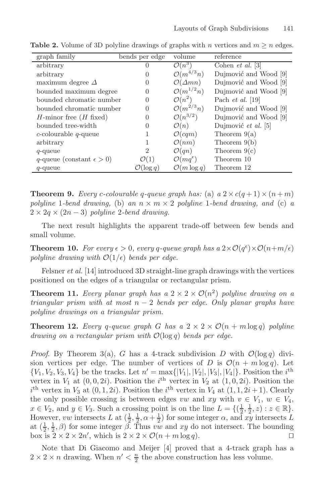| graph family                       | bends per edge        | volume                       | reference               |
|------------------------------------|-----------------------|------------------------------|-------------------------|
| arbitrary                          |                       | $\mathcal{O}(n^3)$           | Cohen <i>et al.</i> [3] |
| arbitrary                          | $\theta$              | $\mathcal{O}(m^{4/3}n)$      | Dujmović and Wood [9]   |
| maximum degree $\Delta$            | 0                     | $\mathcal{O}(\Delta mn)$     | Dujmović and Wood [9]   |
| bounded maximum degree             | 0                     | $\mathcal{O}(m^{1/2}n)$      | Dujmović and Wood [9]   |
| bounded chromatic number           | $\theta$              | $\mathcal{O}(n^2)$           | Pach <i>et al.</i> [19] |
| bounded chromatic number           | $\theta$              | $\mathcal{O}(m^{2/3}n)$      | Dujmović and Wood [9]   |
| $H$ -minor free $(H$ fixed)        | $\theta$              | $\mathcal{O}(n^{3/2})$       | Dujmović and Wood [9]   |
| bounded tree-width                 | $\left( \right)$      | $\mathcal{O}(n)$             | Dujmović et al. [5]     |
| $c$ -colourable $q$ -queue         |                       | $\mathcal{O}(cqm)$           | Theorem $9(a)$          |
| arbitrary                          |                       | $\mathcal{O}(nm)$            | Theorem $9(b)$          |
| $q$ -queue                         | $\overline{2}$        | $\mathcal{O}(qn)$            | Theorem $9(c)$          |
| q-queue (constant $\epsilon > 0$ ) | $\mathcal{O}(1)$      | $\mathcal{O}(mq^{\epsilon})$ | Theorem 10              |
| $q$ -queue                         | $\mathcal{O}(\log q)$ | $\mathcal{O}(m \log q)$      | Theorem 12              |

**Table 2.** Volume of 3D polyline drawings of graphs with n vertices and  $m \ge n$  edges.

**Theorem 9.** *Every c-colourable q-queue graph has:* (a)  $a \ 2 \times c(q+1) \times (n+m)$ *polyline* 1*-bend drawing*, (b) an  $n \times m \times 2$  *polyline* 1*-bend drawing*, and (c) a  $2 \times 2q \times (2n-3)$  *polyline* 2-bend drawing.

The next result highlights the apparent trade-off between few bends and small volume.

**Theorem 10.** For every  $\epsilon > 0$ , every q-queue graph has  $a \ 2 \times \mathcal{O}(q^{\epsilon}) \times \mathcal{O}(n+m/\epsilon)$ *polyline drawing with*  $\mathcal{O}(1/\epsilon)$  *bends per edge.* 

Felsner *et al.* [14] introduced 3D straight-line graph drawings with the vertices positioned on the edges of a triangular or rectangular prism.

**Theorem 11.** *Every planar graph has a*  $2 \times 2 \times O(n^2)$  *polyline drawing on a triangular prism with at most* n <sup>−</sup> <sup>2</sup> *bends per edge. Only planar graphs have polyline drawings on a triangular prism.*

**Theorem 12.** *Every* q-queue graph G has a  $2 \times 2 \times \mathcal{O}(n + m \log q)$  polyline *drawing on a rectangular prism with* <sup>O</sup>(log q) *bends per edge.*

*Proof.* By Theorem 3(a), G has a 4-track subdivision D with  $\mathcal{O}(\log q)$  division vertices per edge. The number of vertices of D is  $\mathcal{O}(n + m \log q)$ . Let  $\{V_1, V_2, V_3, V_4\}$  be the tracks. Let  $n' = \max\{|V_1|, |V_2|, |V_3|, |V_4|\}$ . Position the *i*<sup>th</sup> vertex in *V<sub>2</sub>* at (0.0.2*i*) Position the *i*<sup>th</sup> vertex in *V<sub>2</sub>* at (1.0.2*i*) Position the vertex in  $V_1$  at  $(0, 0, 2i)$ . Position the *i*<sup>th</sup> vertex in  $V_2$  at  $(1, 0, 2i)$ . Position the *i*<sup>th</sup> vertex in  $V_1$  at  $(1, 1, 2i+1)$ . Clearly the only possible crossing is between edges vw and xy with  $v \in V_1$ ,  $w \in V_4$ ,<br> $x \in V_2$  and  $y \in V_2$ . Such a crossing point is on the line  $L = \{(1, 1, z) : z \in \mathbb{R}\}$ <sup>th</sup> vertex in  $V_3$  at  $(0, 1, 2i)$ . Position the *i*<sup>th</sup> vertex in  $V_4$  at  $(1, 1, 2i + 1)$ . Clearly  $x \in V_2$ , and  $y \in V_3$ . Such a crossing point is on the line  $L = \{(\frac{1}{2}, \frac{1}{2}, z) : z \in \mathbb{R}\}.$ <br>However you intersects L at  $(\frac{1}{2}, \frac{1}{2}, \alpha + 1)$  for some integer  $\alpha$  and  $xy$  intersects L However, vw intersects L at  $(\frac{1}{2}, \frac{1}{2}, \alpha + \frac{1}{2})$  for some integer  $\alpha$ , and  $xy$  intersects L at  $(\frac{1}{2}, \frac{1}{4}, \alpha)$  for some integer  $\beta$ . Thus you and xy do not intersect. The bounding at  $(\frac{1}{2}, \frac{1}{2}, \beta)$  for some integer  $\beta$ . Thus vw and xy do not intersect. The bounding<br>box is  $2 \times 2 \times 2n'$  which is  $2 \times 2 \times \mathcal{O}(n+m \log q)$ box is  $2 \times 2 \times 2n'$ , which is  $2 \times 2 \times \mathcal{O}(n + m \log q)$ .

Note that Di Giacomo and Meijer [4] proved that a 4-track graph has a  $2 \times 2 \times n$  drawing. When  $n' < \frac{n}{2}$  the above construction has less volume.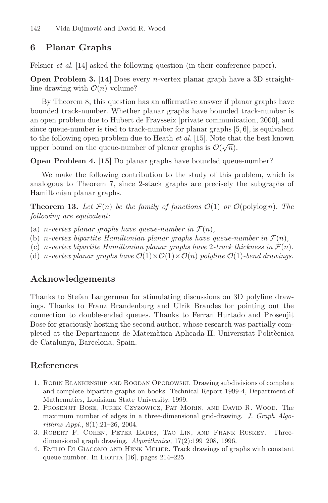## **6 Planar Graphs**

Felsner *et al.* [14] asked the following question (in their conference paper).

**Open Problem 3. [14]** Does every *n*-vertex planar graph have a 3D straightline drawing with  $\mathcal{O}(n)$  volume?

By Theorem 8, this question has an affirmative answer if planar graphs have bounded track-number. Whether planar graphs have bounded track-number is an open problem due to Hubert de Fraysseix [private communication, 2000], and since queue-number is tied to track-number for planar graphs [5, 6], is equivalent to the following open problem due to Heath *et al.* [15]. Note that the best known to the following open problem due to freath *et al.* [10]. Note that upper bound on the queue-number of planar graphs is  $\mathcal{O}(\sqrt{n})$ .

**Open Problem 4. [15]** Do planar graphs have bounded queue-number?

We make the following contribution to the study of this problem, which is analogous to Theorem 7, since 2-stack graphs are precisely the subgraphs of Hamiltonian planar graphs.

**Theorem 13.** Let  $\mathcal{F}(n)$  be the family of functions  $\mathcal{O}(1)$  or  $\mathcal{O}(\text{polylog } n)$ . The *following are equivalent:*

- (a) *n*-vertex planar graphs have queue-number in  $\mathcal{F}(n)$ ,
- (b) *n*-vertex bipartite Hamiltonian planar graphs have queue-number in  $\mathcal{F}(n)$ ,
- (c) n-vertex bipartite Hamiltonian planar graphs have 2-track thickness in  $\mathcal{F}(n)$ .
- (d) n-vertex planar graphs have  $\mathcal{O}(1) \times \mathcal{O}(1) \times \mathcal{O}(n)$  polyline  $\mathcal{O}(1)$ -bend drawings.

## **Acknowledgements**

Thanks to Stefan Langerman for stimulating discussions on 3D polyline drawings. Thanks to Franz Brandenburg and Ulrik Brandes for pointing out the connection to double-ended queues. Thanks to Ferran Hurtado and Prosenjit Bose for graciously hosting the second author, whose research was partially completed at the Departament de Matem`atica Aplicada II, Universitat Polit`ecnica de Catalunya, Barcelona, Spain.

## **References**

- 1. Robin Blankenship and Bogdan Oporowski. Drawing subdivisions of complete and complete bipartite graphs on books. Technical Report 1999-4, Department of Mathematics, Louisiana State University, 1999.
- 2. Prosenjit Bose, Jurek Czyzowicz, Pat Morin, and David R. Wood. The maximum number of edges in a three-dimensional grid-drawing. *J. Graph Algorithms Appl.*, 8(1):21–26, 2004.
- 3. Robert F. Cohen, Peter Eades, Tao Lin, and Frank Ruskey. Threedimensional graph drawing. *Algorithmica*, 17(2):199–208, 1996.
- 4. Emilio Di Giacomo and Henk Meijer. Track drawings of graphs with constant queue number. In LIOTTA  $[16]$ , pages  $214-225$ .